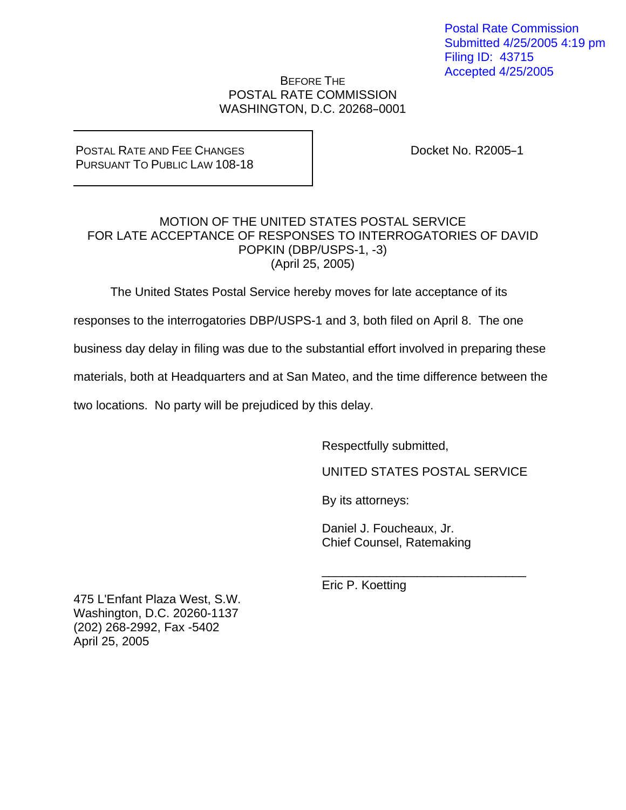Postal Rate Commission Submitted 4/25/2005 4:19 pm Filing ID: 43715 Accepted 4/25/2005

## BEFORE THE POSTAL RATE COMMISSION WASHINGTON, D.C. 20268-0001

POSTAL RATE AND FEE CHANGES PURSUANT TO PUBLIC LAW 108-18 Docket No. R2005-1

## MOTION OF THE UNITED STATES POSTAL SERVICE FOR LATE ACCEPTANCE OF RESPONSES TO INTERROGATORIES OF DAVID POPKIN (DBP/USPS-1, -3) (April 25, 2005)

The United States Postal Service hereby moves for late acceptance of its

responses to the interrogatories DBP/USPS-1 and 3, both filed on April 8. The one

business day delay in filing was due to the substantial effort involved in preparing these

materials, both at Headquarters and at San Mateo, and the time difference between the

 $\frac{1}{\sqrt{2\pi}}$  ,  $\frac{1}{\sqrt{2\pi}}$  ,  $\frac{1}{\sqrt{2\pi}}$  ,  $\frac{1}{\sqrt{2\pi}}$  ,  $\frac{1}{\sqrt{2\pi}}$  ,  $\frac{1}{\sqrt{2\pi}}$  ,  $\frac{1}{\sqrt{2\pi}}$  ,  $\frac{1}{\sqrt{2\pi}}$  ,  $\frac{1}{\sqrt{2\pi}}$  ,  $\frac{1}{\sqrt{2\pi}}$  ,  $\frac{1}{\sqrt{2\pi}}$  ,  $\frac{1}{\sqrt{2\pi}}$  ,  $\frac{1}{\sqrt{2\pi}}$  ,

two locations. No party will be prejudiced by this delay.

Respectfully submitted,

UNITED STATES POSTAL SERVICE

By its attorneys:

 Daniel J. Foucheaux, Jr. Chief Counsel, Ratemaking

Eric P. Koetting

475 L'Enfant Plaza West, S.W. Washington, D.C. 20260-1137 (202) 268-2992, Fax -5402 April 25, 2005